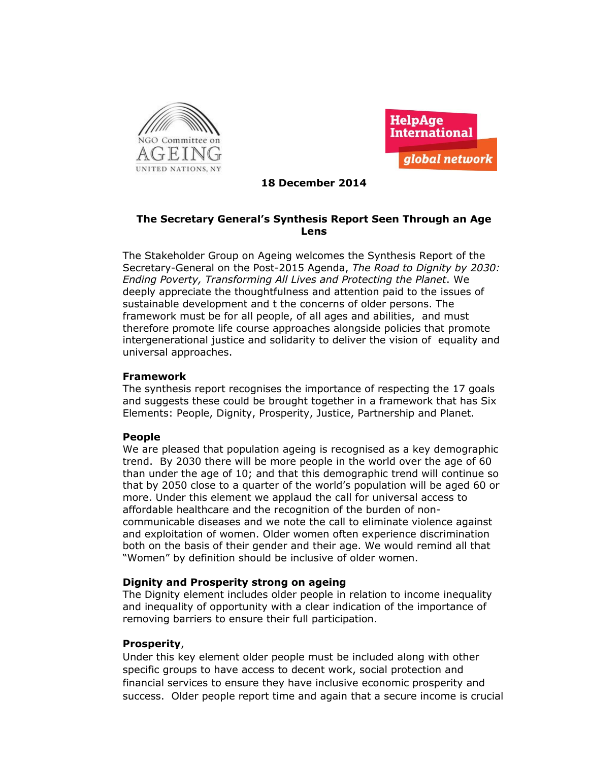



## **18 December 2014**

# **The Secretary General's Synthesis Report Seen Through an Age Lens**

The Stakeholder Group on Ageing welcomes the Synthesis Report of the Secretary-General on the Post-2015 Agenda, *The Road to Dignity by 2030: Ending Poverty, Transforming All Lives and Protecting the Planet*. We deeply appreciate the thoughtfulness and attention paid to the issues of sustainable development and t the concerns of older persons. The framework must be for all people, of all ages and abilities, and must therefore promote life course approaches alongside policies that promote intergenerational justice and solidarity to deliver the vision of equality and universal approaches.

### **Framework**

The synthesis report recognises the importance of respecting the 17 goals and suggests these could be brought together in a framework that has Six Elements: People, Dignity, Prosperity, Justice, Partnership and Planet.

#### **People**

We are pleased that population ageing is recognised as a key demographic trend. By 2030 there will be more people in the world over the age of 60 than under the age of 10; and that this demographic trend will continue so that by 2050 close to a quarter of the world's population will be aged 60 or more. Under this element we applaud the call for universal access to affordable healthcare and the recognition of the burden of noncommunicable diseases and we note the call to eliminate violence against and exploitation of women. Older women often experience discrimination both on the basis of their gender and their age. We would remind all that "Women" by definition should be inclusive of older women.

## **Dignity and Prosperity strong on ageing**

The Dignity element includes older people in relation to income inequality and inequality of opportunity with a clear indication of the importance of removing barriers to ensure their full participation.

## **Prosperity**,

Under this key element older people must be included along with other specific groups to have access to decent work, social protection and financial services to ensure they have inclusive economic prosperity and success. Older people report time and again that a secure income is crucial